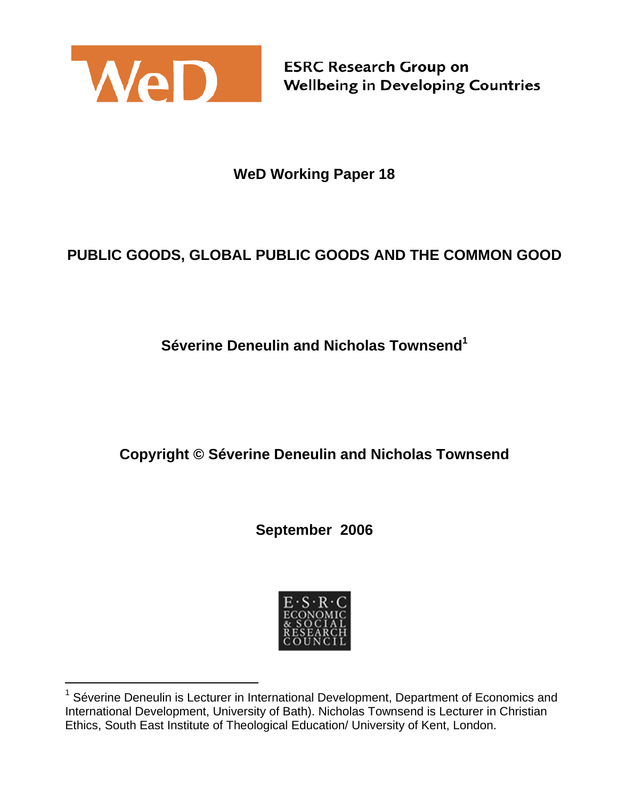

**ESRC Research Group on Wellbeing in Developing Countries** 

**WeD Working Paper 18** 

# **PUBLIC GOODS, GLOBAL PUBLIC GOODS AND THE COMMON GOOD**

# **Séverine Deneulin and Nicholas Townsend1**

# **Copyright © Séverine Deneulin and Nicholas Townsend**

**September 2006** 



 1 Séverine Deneulin is Lecturer in International Development, Department of Economics and International Development, University of Bath). Nicholas Townsend is Lecturer in Christian Ethics, South East Institute of Theological Education/ University of Kent, London.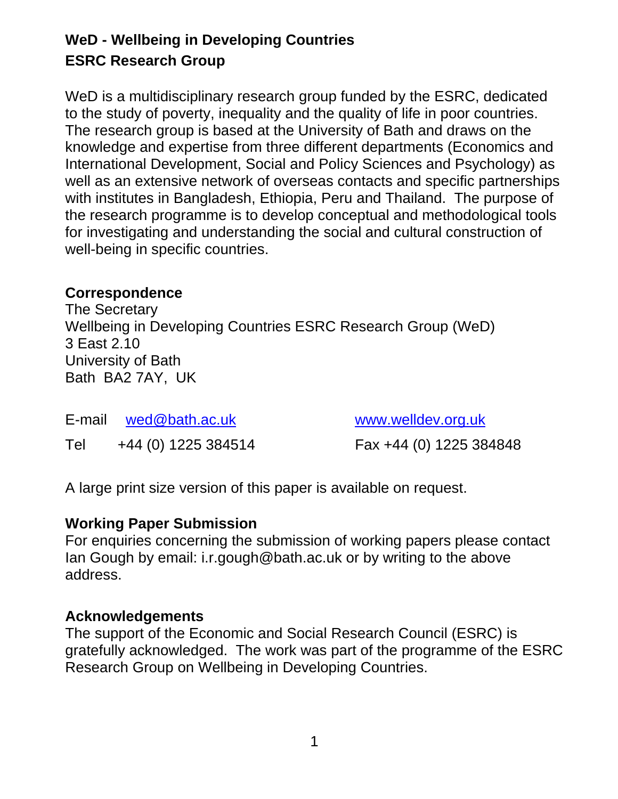# **WeD - Wellbeing in Developing Countries ESRC Research Group**

WeD is a multidisciplinary research group funded by the ESRC, dedicated to the study of poverty, inequality and the quality of life in poor countries. The research group is based at the University of Bath and draws on the knowledge and expertise from three different departments (Economics and International Development, Social and Policy Sciences and Psychology) as well as an extensive network of overseas contacts and specific partnerships with institutes in Bangladesh, Ethiopia, Peru and Thailand. The purpose of the research programme is to develop conceptual and methodological tools for investigating and understanding the social and cultural construction of well-being in specific countries.

#### **Correspondence**

The Secretary Wellbeing in Developing Countries ESRC Research Group (WeD) 3 East 2.10 University of Bath Bath BA2 7AY, UK

| E-mail | wed@bath.ac.uk      | www.welldev.org.uk      |
|--------|---------------------|-------------------------|
| Tel    | +44 (0) 1225 384514 | Fax +44 (0) 1225 384848 |

A large print size version of this paper is available on request.

### **Working Paper Submission**

For enquiries concerning the submission of working papers please contact Ian Gough by email: i.r.gough@bath.ac.uk or by writing to the above address.

#### **Acknowledgements**

The support of the Economic and Social Research Council (ESRC) is gratefully acknowledged. The work was part of the programme of the ESRC Research Group on Wellbeing in Developing Countries.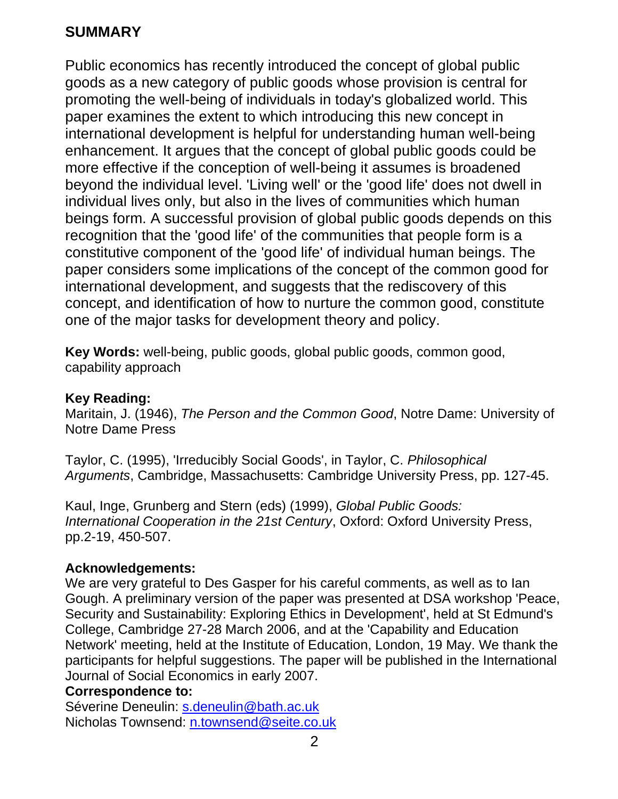### **SUMMARY**

Public economics has recently introduced the concept of global public goods as a new category of public goods whose provision is central for promoting the well-being of individuals in today's globalized world. This paper examines the extent to which introducing this new concept in international development is helpful for understanding human well-being enhancement. It argues that the concept of global public goods could be more effective if the conception of well-being it assumes is broadened beyond the individual level. 'Living well' or the 'good life' does not dwell in individual lives only, but also in the lives of communities which human beings form. A successful provision of global public goods depends on this recognition that the 'good life' of the communities that people form is a constitutive component of the 'good life' of individual human beings. The paper considers some implications of the concept of the common good for international development, and suggests that the rediscovery of this concept, and identification of how to nurture the common good, constitute one of the major tasks for development theory and policy.

**Key Words:** well-being, public goods, global public goods, common good, capability approach

#### **Key Reading:**

Maritain, J. (1946), *The Person and the Common Good*, Notre Dame: University of Notre Dame Press

Taylor, C. (1995), 'Irreducibly Social Goods', in Taylor, C. *Philosophical Arguments*, Cambridge, Massachusetts: Cambridge University Press, pp. 127-45.

Kaul, Inge, Grunberg and Stern (eds) (1999), *Global Public Goods: International Cooperation in the 21st Century*, Oxford: Oxford University Press, pp.2-19, 450-507.

#### **Acknowledgements:**

We are very grateful to Des Gasper for his careful comments, as well as to Ian Gough. A preliminary version of the paper was presented at DSA workshop 'Peace, Security and Sustainability: Exploring Ethics in Development', held at St Edmund's College, Cambridge 27-28 March 2006, and at the 'Capability and Education Network' meeting, held at the Institute of Education, London, 19 May. We thank the participants for helpful suggestions. The paper will be published in the International Journal of Social Economics in early 2007.

#### **Correspondence to:**

Séverine Deneulin: s.deneulin@bath.ac.uk Nicholas Townsend: n.townsend@seite.co.uk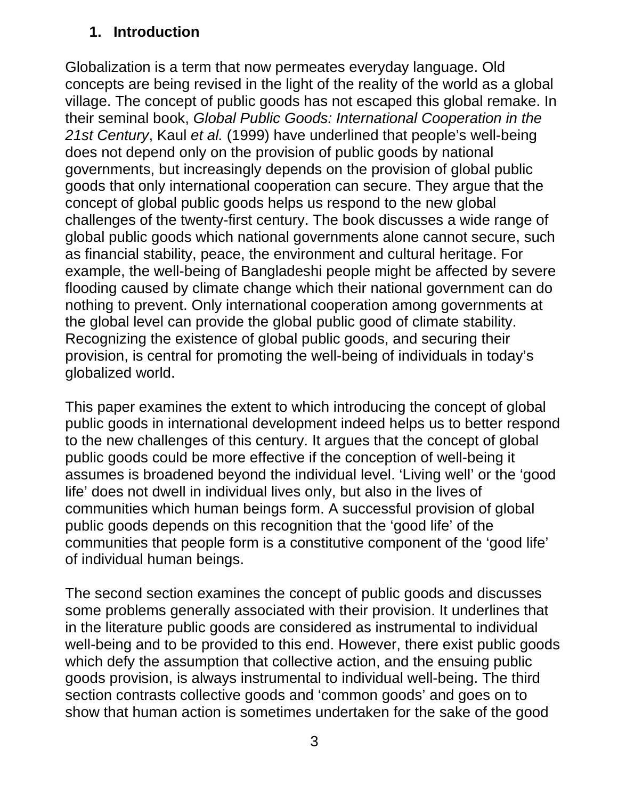### **1. Introduction**

Globalization is a term that now permeates everyday language. Old concepts are being revised in the light of the reality of the world as a global village. The concept of public goods has not escaped this global remake. In their seminal book, *Global Public Goods: International Cooperation in the 21st Century*, Kaul *et al.* (1999) have underlined that people's well-being does not depend only on the provision of public goods by national governments, but increasingly depends on the provision of global public goods that only international cooperation can secure. They argue that the concept of global public goods helps us respond to the new global challenges of the twenty-first century. The book discusses a wide range of global public goods which national governments alone cannot secure, such as financial stability, peace, the environment and cultural heritage. For example, the well-being of Bangladeshi people might be affected by severe flooding caused by climate change which their national government can do nothing to prevent. Only international cooperation among governments at the global level can provide the global public good of climate stability. Recognizing the existence of global public goods, and securing their provision, is central for promoting the well-being of individuals in today's globalized world.

This paper examines the extent to which introducing the concept of global public goods in international development indeed helps us to better respond to the new challenges of this century. It argues that the concept of global public goods could be more effective if the conception of well-being it assumes is broadened beyond the individual level. 'Living well' or the 'good life' does not dwell in individual lives only, but also in the lives of communities which human beings form. A successful provision of global public goods depends on this recognition that the 'good life' of the communities that people form is a constitutive component of the 'good life' of individual human beings.

The second section examines the concept of public goods and discusses some problems generally associated with their provision. It underlines that in the literature public goods are considered as instrumental to individual well-being and to be provided to this end. However, there exist public goods which defy the assumption that collective action, and the ensuing public goods provision, is always instrumental to individual well-being. The third section contrasts collective goods and 'common goods' and goes on to show that human action is sometimes undertaken for the sake of the good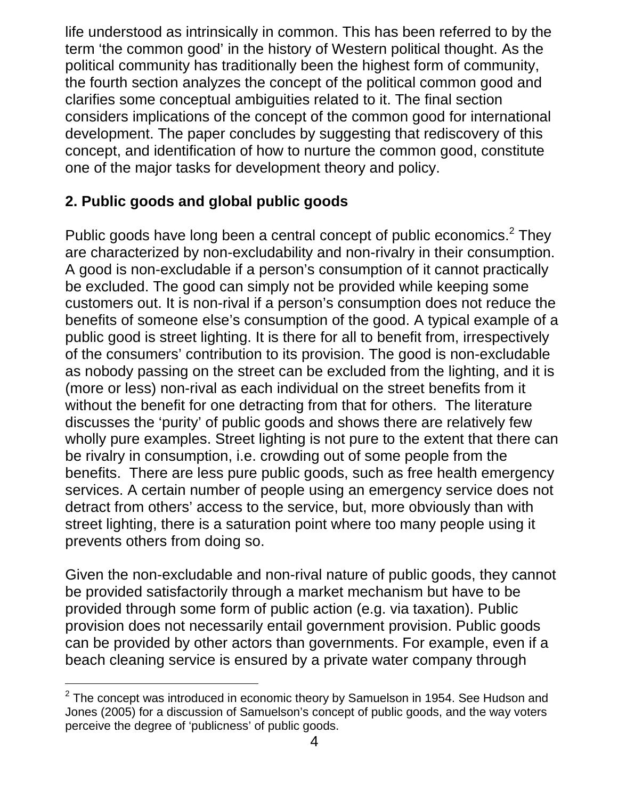life understood as intrinsically in common. This has been referred to by the term 'the common good' in the history of Western political thought. As the political community has traditionally been the highest form of community, the fourth section analyzes the concept of the political common good and clarifies some conceptual ambiguities related to it. The final section considers implications of the concept of the common good for international development. The paper concludes by suggesting that rediscovery of this concept, and identification of how to nurture the common good, constitute one of the major tasks for development theory and policy.

# **2. Public goods and global public goods**

Public goods have long been a central concept of public economics. $2$  They are characterized by non-excludability and non-rivalry in their consumption. A good is non-excludable if a person's consumption of it cannot practically be excluded. The good can simply not be provided while keeping some customers out. It is non-rival if a person's consumption does not reduce the benefits of someone else's consumption of the good. A typical example of a public good is street lighting. It is there for all to benefit from, irrespectively of the consumers' contribution to its provision. The good is non-excludable as nobody passing on the street can be excluded from the lighting, and it is (more or less) non-rival as each individual on the street benefits from it without the benefit for one detracting from that for others. The literature discusses the 'purity' of public goods and shows there are relatively few wholly pure examples. Street lighting is not pure to the extent that there can be rivalry in consumption, i.e. crowding out of some people from the benefits. There are less pure public goods, such as free health emergency services. A certain number of people using an emergency service does not detract from others' access to the service, but, more obviously than with street lighting, there is a saturation point where too many people using it prevents others from doing so.

Given the non-excludable and non-rival nature of public goods, they cannot be provided satisfactorily through a market mechanism but have to be provided through some form of public action (e.g. via taxation). Public provision does not necessarily entail government provision. Public goods can be provided by other actors than governments. For example, even if a beach cleaning service is ensured by a private water company through

l  $2$  The concept was introduced in economic theory by Samuelson in 1954. See Hudson and Jones (2005) for a discussion of Samuelson's concept of public goods, and the way voters perceive the degree of 'publicness' of public goods.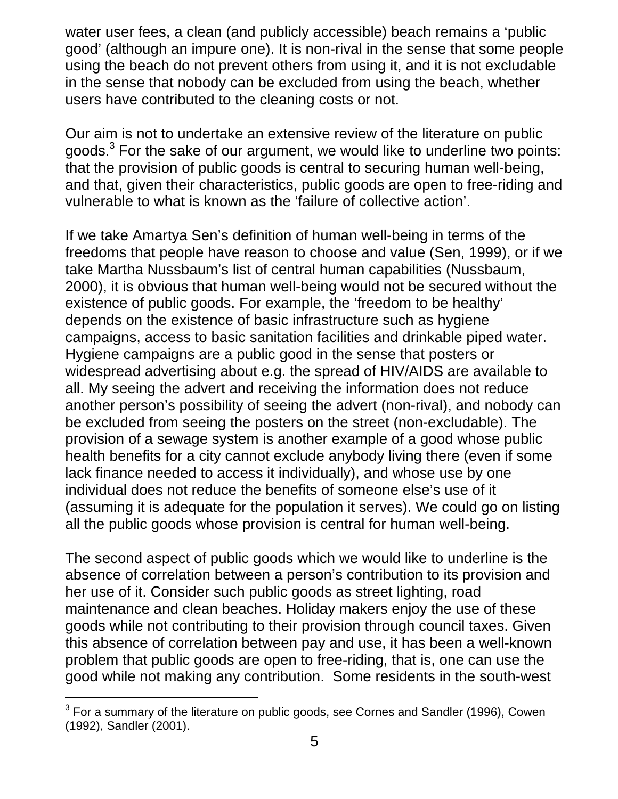water user fees, a clean (and publicly accessible) beach remains a 'public good' (although an impure one). It is non-rival in the sense that some people using the beach do not prevent others from using it, and it is not excludable in the sense that nobody can be excluded from using the beach, whether users have contributed to the cleaning costs or not.

Our aim is not to undertake an extensive review of the literature on public goods. $3$  For the sake of our argument, we would like to underline two points: that the provision of public goods is central to securing human well-being, and that, given their characteristics, public goods are open to free-riding and vulnerable to what is known as the 'failure of collective action'.

If we take Amartya Sen's definition of human well-being in terms of the freedoms that people have reason to choose and value (Sen, 1999), or if we take Martha Nussbaum's list of central human capabilities (Nussbaum, 2000), it is obvious that human well-being would not be secured without the existence of public goods. For example, the 'freedom to be healthy' depends on the existence of basic infrastructure such as hygiene campaigns, access to basic sanitation facilities and drinkable piped water. Hygiene campaigns are a public good in the sense that posters or widespread advertising about e.g. the spread of HIV/AIDS are available to all. My seeing the advert and receiving the information does not reduce another person's possibility of seeing the advert (non-rival), and nobody can be excluded from seeing the posters on the street (non-excludable). The provision of a sewage system is another example of a good whose public health benefits for a city cannot exclude anybody living there (even if some lack finance needed to access it individually), and whose use by one individual does not reduce the benefits of someone else's use of it (assuming it is adequate for the population it serves). We could go on listing all the public goods whose provision is central for human well-being.

The second aspect of public goods which we would like to underline is the absence of correlation between a person's contribution to its provision and her use of it. Consider such public goods as street lighting, road maintenance and clean beaches. Holiday makers enjoy the use of these goods while not contributing to their provision through council taxes. Given this absence of correlation between pay and use, it has been a well-known problem that public goods are open to free-riding, that is, one can use the good while not making any contribution. Some residents in the south-west

 $3$  For a summary of the literature on public goods, see Cornes and Sandler (1996), Cowen (1992), Sandler (2001).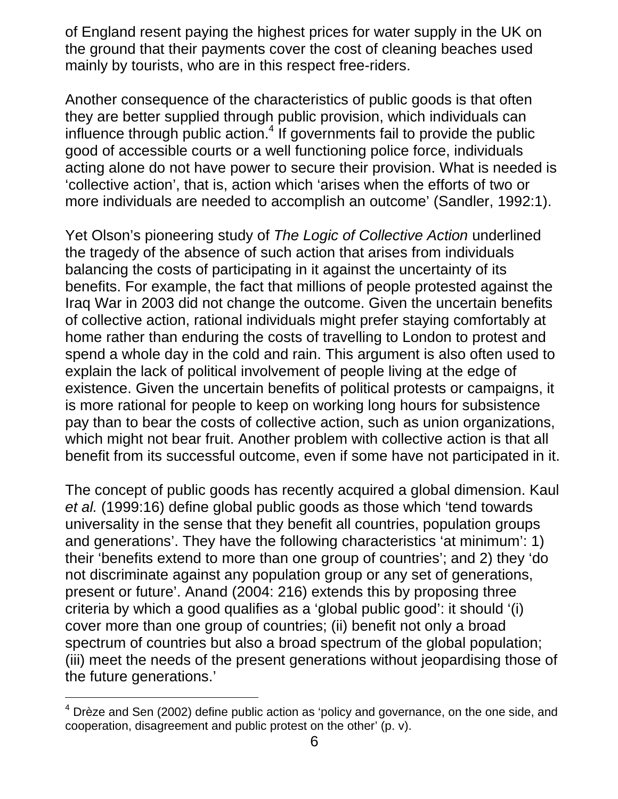of England resent paying the highest prices for water supply in the UK on the ground that their payments cover the cost of cleaning beaches used mainly by tourists, who are in this respect free-riders.

Another consequence of the characteristics of public goods is that often they are better supplied through public provision, which individuals can influence through public action. $4$  If governments fail to provide the public good of accessible courts or a well functioning police force, individuals acting alone do not have power to secure their provision. What is needed is 'collective action', that is, action which 'arises when the efforts of two or more individuals are needed to accomplish an outcome' (Sandler, 1992:1).

Yet Olson's pioneering study of *The Logic of Collective Action* underlined the tragedy of the absence of such action that arises from individuals balancing the costs of participating in it against the uncertainty of its benefits. For example, the fact that millions of people protested against the Iraq War in 2003 did not change the outcome. Given the uncertain benefits of collective action, rational individuals might prefer staying comfortably at home rather than enduring the costs of travelling to London to protest and spend a whole day in the cold and rain. This argument is also often used to explain the lack of political involvement of people living at the edge of existence. Given the uncertain benefits of political protests or campaigns, it is more rational for people to keep on working long hours for subsistence pay than to bear the costs of collective action, such as union organizations, which might not bear fruit. Another problem with collective action is that all benefit from its successful outcome, even if some have not participated in it.

The concept of public goods has recently acquired a global dimension. Kaul *et al.* (1999:16) define global public goods as those which 'tend towards universality in the sense that they benefit all countries, population groups and generations'. They have the following characteristics 'at minimum': 1) their 'benefits extend to more than one group of countries'; and 2) they 'do not discriminate against any population group or any set of generations, present or future'. Anand (2004: 216) extends this by proposing three criteria by which a good qualifies as a 'global public good': it should '(i) cover more than one group of countries; (ii) benefit not only a broad spectrum of countries but also a broad spectrum of the global population; (iii) meet the needs of the present generations without jeopardising those of the future generations.'

 $4$  Drèze and Sen (2002) define public action as 'policy and governance, on the one side, and cooperation, disagreement and public protest on the other' (p. v).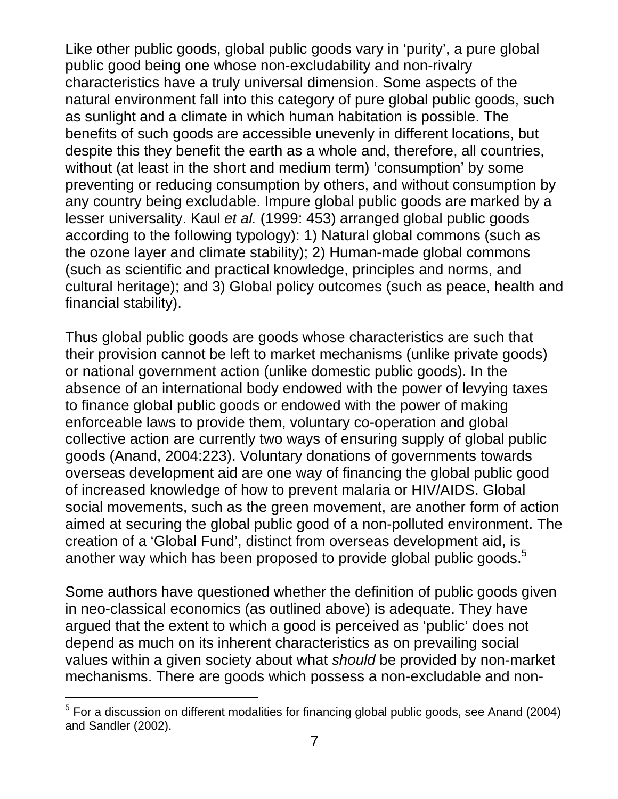Like other public goods, global public goods vary in 'purity', a pure global public good being one whose non-excludability and non-rivalry characteristics have a truly universal dimension. Some aspects of the natural environment fall into this category of pure global public goods, such as sunlight and a climate in which human habitation is possible. The benefits of such goods are accessible unevenly in different locations, but despite this they benefit the earth as a whole and, therefore, all countries, without (at least in the short and medium term) 'consumption' by some preventing or reducing consumption by others, and without consumption by any country being excludable. Impure global public goods are marked by a lesser universality. Kaul *et al.* (1999: 453) arranged global public goods according to the following typology): 1) Natural global commons (such as the ozone layer and climate stability); 2) Human-made global commons (such as scientific and practical knowledge, principles and norms, and cultural heritage); and 3) Global policy outcomes (such as peace, health and financial stability).

Thus global public goods are goods whose characteristics are such that their provision cannot be left to market mechanisms (unlike private goods) or national government action (unlike domestic public goods). In the absence of an international body endowed with the power of levying taxes to finance global public goods or endowed with the power of making enforceable laws to provide them, voluntary co-operation and global collective action are currently two ways of ensuring supply of global public goods (Anand, 2004:223). Voluntary donations of governments towards overseas development aid are one way of financing the global public good of increased knowledge of how to prevent malaria or HIV/AIDS. Global social movements, such as the green movement, are another form of action aimed at securing the global public good of a non-polluted environment. The creation of a 'Global Fund', distinct from overseas development aid, is another way which has been proposed to provide global public goods. $5$ 

Some authors have questioned whether the definition of public goods given in neo-classical economics (as outlined above) is adequate. They have argued that the extent to which a good is perceived as 'public' does not depend as much on its inherent characteristics as on prevailing social values within a given society about what *should* be provided by non-market mechanisms. There are goods which possess a non-excludable and non-

 $<sup>5</sup>$  For a discussion on different modalities for financing global public goods, see Anand (2004)</sup> and Sandler (2002).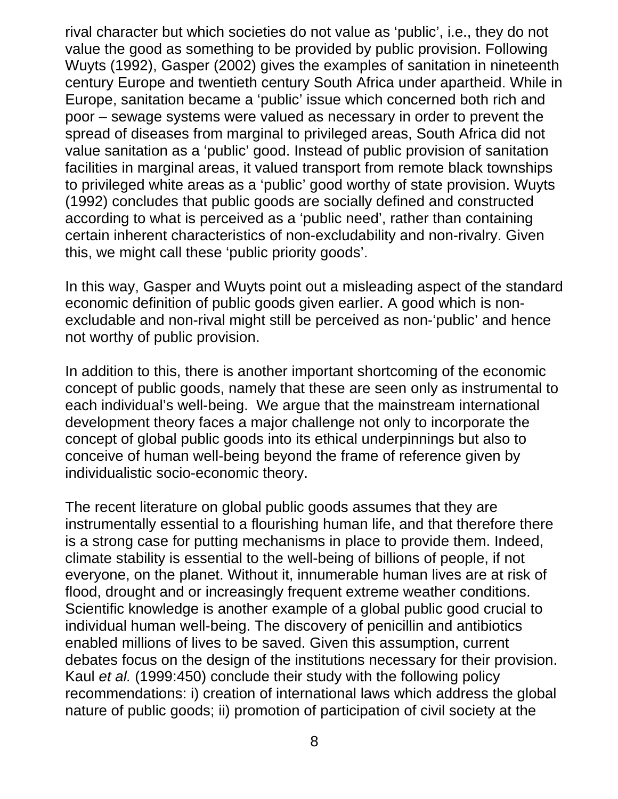rival character but which societies do not value as 'public', i.e., they do not value the good as something to be provided by public provision. Following Wuyts (1992), Gasper (2002) gives the examples of sanitation in nineteenth century Europe and twentieth century South Africa under apartheid. While in Europe, sanitation became a 'public' issue which concerned both rich and poor – sewage systems were valued as necessary in order to prevent the spread of diseases from marginal to privileged areas, South Africa did not value sanitation as a 'public' good. Instead of public provision of sanitation facilities in marginal areas, it valued transport from remote black townships to privileged white areas as a 'public' good worthy of state provision. Wuyts (1992) concludes that public goods are socially defined and constructed according to what is perceived as a 'public need', rather than containing certain inherent characteristics of non-excludability and non-rivalry. Given this, we might call these 'public priority goods'.

In this way, Gasper and Wuyts point out a misleading aspect of the standard economic definition of public goods given earlier. A good which is nonexcludable and non-rival might still be perceived as non-'public' and hence not worthy of public provision.

In addition to this, there is another important shortcoming of the economic concept of public goods, namely that these are seen only as instrumental to each individual's well-being. We argue that the mainstream international development theory faces a major challenge not only to incorporate the concept of global public goods into its ethical underpinnings but also to conceive of human well-being beyond the frame of reference given by individualistic socio-economic theory.

The recent literature on global public goods assumes that they are instrumentally essential to a flourishing human life, and that therefore there is a strong case for putting mechanisms in place to provide them. Indeed, climate stability is essential to the well-being of billions of people, if not everyone, on the planet. Without it, innumerable human lives are at risk of flood, drought and or increasingly frequent extreme weather conditions. Scientific knowledge is another example of a global public good crucial to individual human well-being. The discovery of penicillin and antibiotics enabled millions of lives to be saved. Given this assumption, current debates focus on the design of the institutions necessary for their provision. Kaul *et al.* (1999:450) conclude their study with the following policy recommendations: i) creation of international laws which address the global nature of public goods; ii) promotion of participation of civil society at the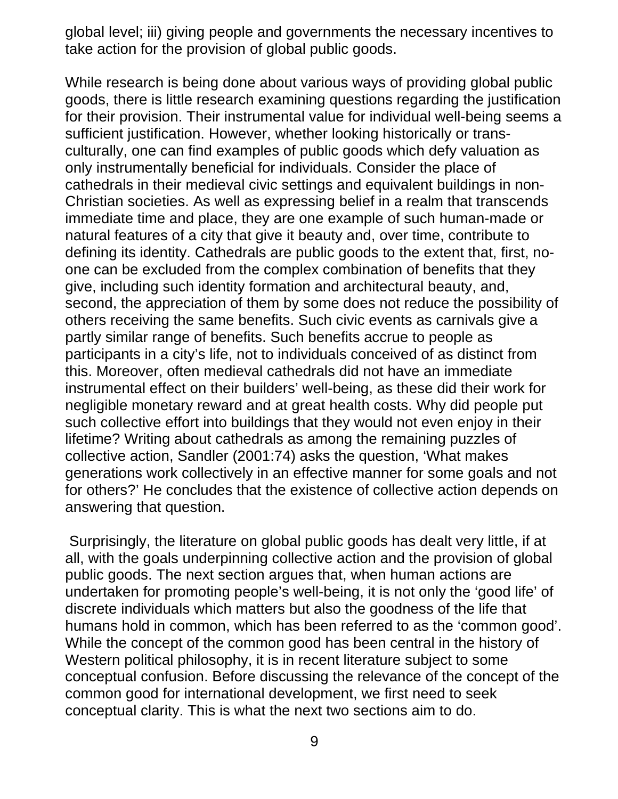global level; iii) giving people and governments the necessary incentives to take action for the provision of global public goods.

While research is being done about various ways of providing global public goods, there is little research examining questions regarding the justification for their provision. Their instrumental value for individual well-being seems a sufficient justification. However, whether looking historically or transculturally, one can find examples of public goods which defy valuation as only instrumentally beneficial for individuals. Consider the place of cathedrals in their medieval civic settings and equivalent buildings in non-Christian societies. As well as expressing belief in a realm that transcends immediate time and place, they are one example of such human-made or natural features of a city that give it beauty and, over time, contribute to defining its identity. Cathedrals are public goods to the extent that, first, noone can be excluded from the complex combination of benefits that they give, including such identity formation and architectural beauty, and, second, the appreciation of them by some does not reduce the possibility of others receiving the same benefits. Such civic events as carnivals give a partly similar range of benefits. Such benefits accrue to people as participants in a city's life, not to individuals conceived of as distinct from this. Moreover, often medieval cathedrals did not have an immediate instrumental effect on their builders' well-being, as these did their work for negligible monetary reward and at great health costs. Why did people put such collective effort into buildings that they would not even enjoy in their lifetime? Writing about cathedrals as among the remaining puzzles of collective action, Sandler (2001:74) asks the question, 'What makes generations work collectively in an effective manner for some goals and not for others?' He concludes that the existence of collective action depends on answering that question.

 Surprisingly, the literature on global public goods has dealt very little, if at all, with the goals underpinning collective action and the provision of global public goods. The next section argues that, when human actions are undertaken for promoting people's well-being, it is not only the 'good life' of discrete individuals which matters but also the goodness of the life that humans hold in common, which has been referred to as the 'common good'. While the concept of the common good has been central in the history of Western political philosophy, it is in recent literature subject to some conceptual confusion. Before discussing the relevance of the concept of the common good for international development, we first need to seek conceptual clarity. This is what the next two sections aim to do.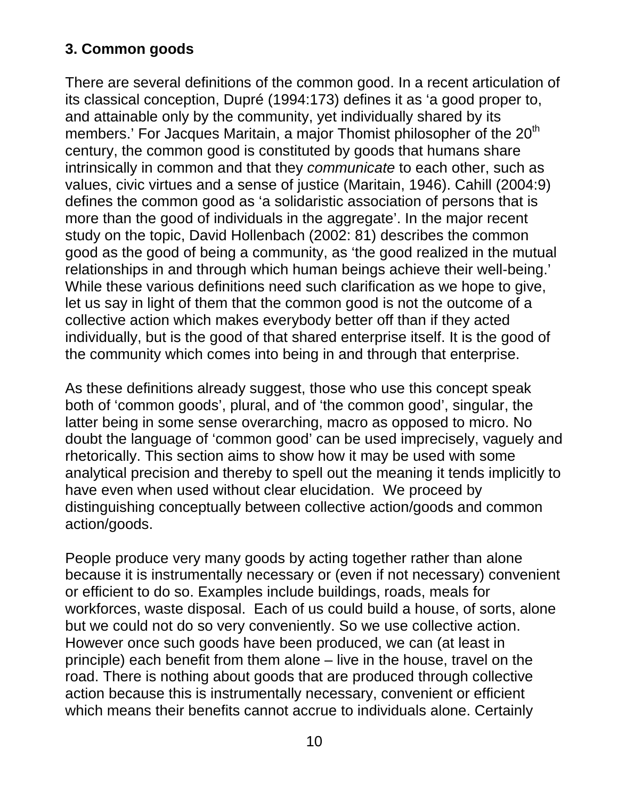### **3. Common goods**

There are several definitions of the common good. In a recent articulation of its classical conception, Dupré (1994:173) defines it as 'a good proper to, and attainable only by the community, yet individually shared by its members.' For Jacques Maritain, a major Thomist philosopher of the 20<sup>th</sup> century, the common good is constituted by goods that humans share intrinsically in common and that they *communicate* to each other, such as values, civic virtues and a sense of justice (Maritain, 1946). Cahill (2004:9) defines the common good as 'a solidaristic association of persons that is more than the good of individuals in the aggregate'. In the major recent study on the topic, David Hollenbach (2002: 81) describes the common good as the good of being a community, as 'the good realized in the mutual relationships in and through which human beings achieve their well-being.' While these various definitions need such clarification as we hope to give, let us say in light of them that the common good is not the outcome of a collective action which makes everybody better off than if they acted individually, but is the good of that shared enterprise itself. It is the good of the community which comes into being in and through that enterprise.

As these definitions already suggest, those who use this concept speak both of 'common goods', plural, and of 'the common good', singular, the latter being in some sense overarching, macro as opposed to micro. No doubt the language of 'common good' can be used imprecisely, vaguely and rhetorically. This section aims to show how it may be used with some analytical precision and thereby to spell out the meaning it tends implicitly to have even when used without clear elucidation. We proceed by distinguishing conceptually between collective action/goods and common action/goods.

People produce very many goods by acting together rather than alone because it is instrumentally necessary or (even if not necessary) convenient or efficient to do so. Examples include buildings, roads, meals for workforces, waste disposal. Each of us could build a house, of sorts, alone but we could not do so very conveniently. So we use collective action. However once such goods have been produced, we can (at least in principle) each benefit from them alone – live in the house, travel on the road. There is nothing about goods that are produced through collective action because this is instrumentally necessary, convenient or efficient which means their benefits cannot accrue to individuals alone. Certainly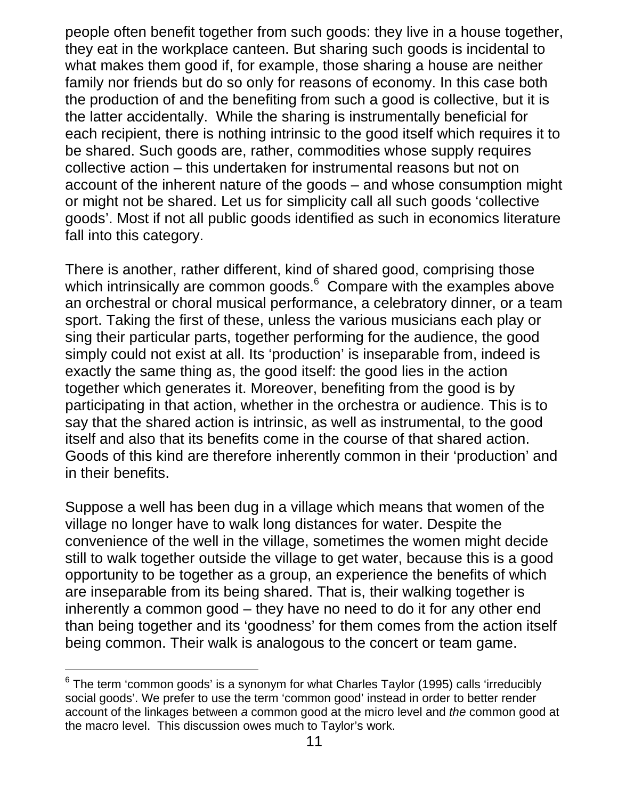people often benefit together from such goods: they live in a house together, they eat in the workplace canteen. But sharing such goods is incidental to what makes them good if, for example, those sharing a house are neither family nor friends but do so only for reasons of economy. In this case both the production of and the benefiting from such a good is collective, but it is the latter accidentally. While the sharing is instrumentally beneficial for each recipient, there is nothing intrinsic to the good itself which requires it to be shared. Such goods are, rather, commodities whose supply requires collective action – this undertaken for instrumental reasons but not on account of the inherent nature of the goods – and whose consumption might or might not be shared. Let us for simplicity call all such goods 'collective goods'. Most if not all public goods identified as such in economics literature fall into this category.

There is another, rather different, kind of shared good, comprising those which intrinsically are common goods.<sup>6</sup> Compare with the examples above an orchestral or choral musical performance, a celebratory dinner, or a team sport. Taking the first of these, unless the various musicians each play or sing their particular parts, together performing for the audience, the good simply could not exist at all. Its 'production' is inseparable from, indeed is exactly the same thing as, the good itself: the good lies in the action together which generates it. Moreover, benefiting from the good is by participating in that action, whether in the orchestra or audience. This is to say that the shared action is intrinsic, as well as instrumental, to the good itself and also that its benefits come in the course of that shared action. Goods of this kind are therefore inherently common in their 'production' and in their benefits.

Suppose a well has been dug in a village which means that women of the village no longer have to walk long distances for water. Despite the convenience of the well in the village, sometimes the women might decide still to walk together outside the village to get water, because this is a good opportunity to be together as a group, an experience the benefits of which are inseparable from its being shared. That is, their walking together is inherently a common good – they have no need to do it for any other end than being together and its 'goodness' for them comes from the action itself being common. Their walk is analogous to the concert or team game.

 6 The term 'common goods' is a synonym for what Charles Taylor (1995) calls 'irreducibly social goods'. We prefer to use the term 'common good' instead in order to better render account of the linkages between *a* common good at the micro level and *the* common good at the macro level. This discussion owes much to Taylor's work.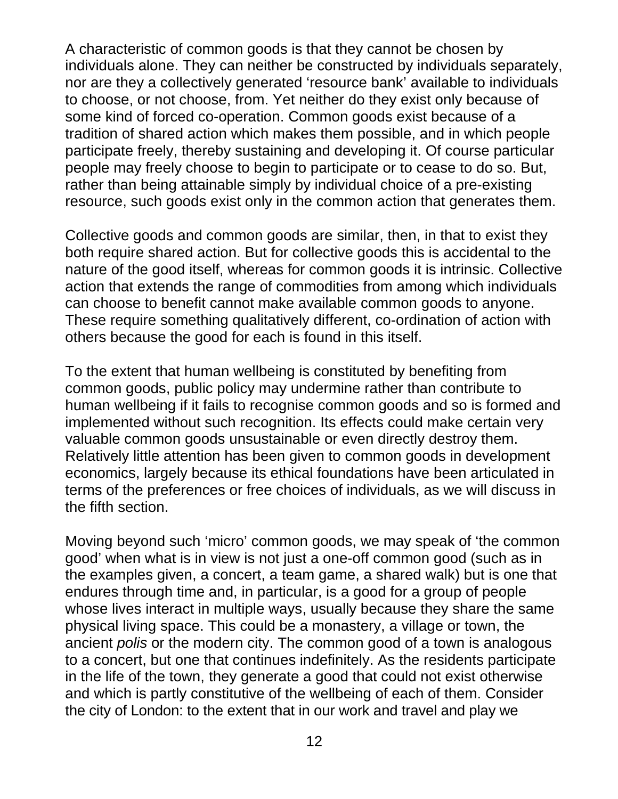A characteristic of common goods is that they cannot be chosen by individuals alone. They can neither be constructed by individuals separately, nor are they a collectively generated 'resource bank' available to individuals to choose, or not choose, from. Yet neither do they exist only because of some kind of forced co-operation. Common goods exist because of a tradition of shared action which makes them possible, and in which people participate freely, thereby sustaining and developing it. Of course particular people may freely choose to begin to participate or to cease to do so. But, rather than being attainable simply by individual choice of a pre-existing resource, such goods exist only in the common action that generates them.

Collective goods and common goods are similar, then, in that to exist they both require shared action. But for collective goods this is accidental to the nature of the good itself, whereas for common goods it is intrinsic. Collective action that extends the range of commodities from among which individuals can choose to benefit cannot make available common goods to anyone. These require something qualitatively different, co-ordination of action with others because the good for each is found in this itself.

To the extent that human wellbeing is constituted by benefiting from common goods, public policy may undermine rather than contribute to human wellbeing if it fails to recognise common goods and so is formed and implemented without such recognition. Its effects could make certain very valuable common goods unsustainable or even directly destroy them. Relatively little attention has been given to common goods in development economics, largely because its ethical foundations have been articulated in terms of the preferences or free choices of individuals, as we will discuss in the fifth section.

Moving beyond such 'micro' common goods, we may speak of 'the common good' when what is in view is not just a one-off common good (such as in the examples given, a concert, a team game, a shared walk) but is one that endures through time and, in particular, is a good for a group of people whose lives interact in multiple ways, usually because they share the same physical living space. This could be a monastery, a village or town, the ancient *polis* or the modern city. The common good of a town is analogous to a concert, but one that continues indefinitely. As the residents participate in the life of the town, they generate a good that could not exist otherwise and which is partly constitutive of the wellbeing of each of them. Consider the city of London: to the extent that in our work and travel and play we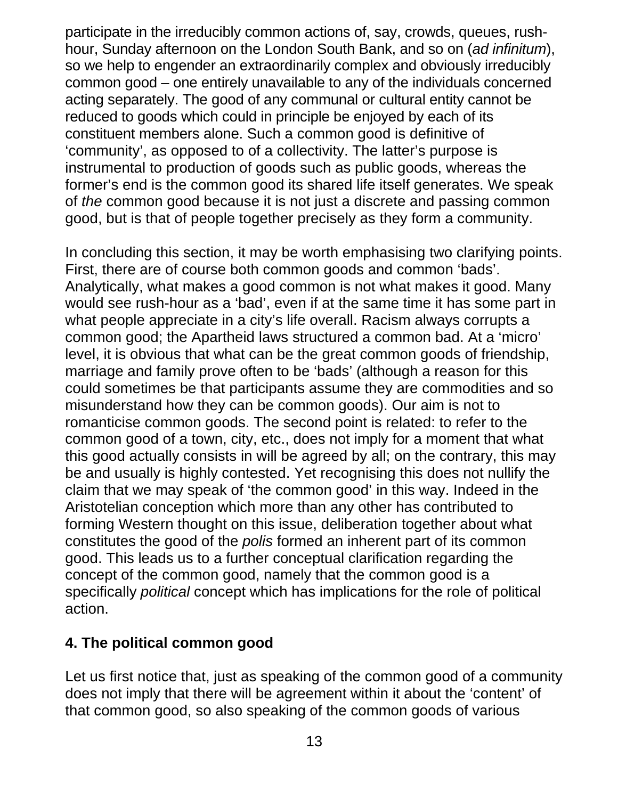participate in the irreducibly common actions of, say, crowds, queues, rushhour, Sunday afternoon on the London South Bank, and so on (*ad infinitum*), so we help to engender an extraordinarily complex and obviously irreducibly common good – one entirely unavailable to any of the individuals concerned acting separately. The good of any communal or cultural entity cannot be reduced to goods which could in principle be enjoyed by each of its constituent members alone. Such a common good is definitive of 'community', as opposed to of a collectivity. The latter's purpose is instrumental to production of goods such as public goods, whereas the former's end is the common good its shared life itself generates. We speak of *the* common good because it is not just a discrete and passing common good, but is that of people together precisely as they form a community.

In concluding this section, it may be worth emphasising two clarifying points. First, there are of course both common goods and common 'bads'. Analytically, what makes a good common is not what makes it good. Many would see rush-hour as a 'bad', even if at the same time it has some part in what people appreciate in a city's life overall. Racism always corrupts a common good; the Apartheid laws structured a common bad. At a 'micro' level, it is obvious that what can be the great common goods of friendship, marriage and family prove often to be 'bads' (although a reason for this could sometimes be that participants assume they are commodities and so misunderstand how they can be common goods). Our aim is not to romanticise common goods. The second point is related: to refer to the common good of a town, city, etc., does not imply for a moment that what this good actually consists in will be agreed by all; on the contrary, this may be and usually is highly contested. Yet recognising this does not nullify the claim that we may speak of 'the common good' in this way. Indeed in the Aristotelian conception which more than any other has contributed to forming Western thought on this issue, deliberation together about what constitutes the good of the *polis* formed an inherent part of its common good. This leads us to a further conceptual clarification regarding the concept of the common good, namely that the common good is a specifically *political* concept which has implications for the role of political action.

### **4. The political common good**

Let us first notice that, just as speaking of the common good of a community does not imply that there will be agreement within it about the 'content' of that common good, so also speaking of the common goods of various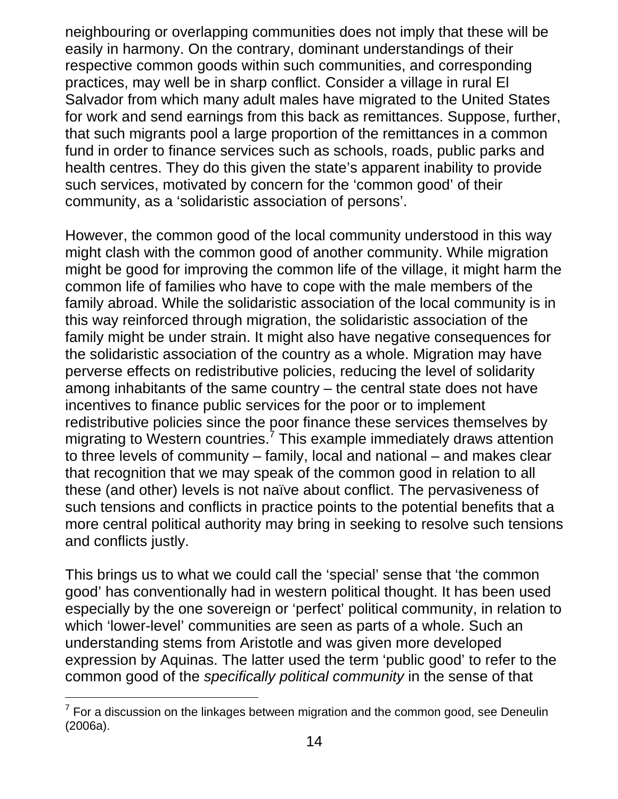neighbouring or overlapping communities does not imply that these will be easily in harmony. On the contrary, dominant understandings of their respective common goods within such communities, and corresponding practices, may well be in sharp conflict. Consider a village in rural El Salvador from which many adult males have migrated to the United States for work and send earnings from this back as remittances. Suppose, further, that such migrants pool a large proportion of the remittances in a common fund in order to finance services such as schools, roads, public parks and health centres. They do this given the state's apparent inability to provide such services, motivated by concern for the 'common good' of their community, as a 'solidaristic association of persons'.

However, the common good of the local community understood in this way might clash with the common good of another community. While migration might be good for improving the common life of the village, it might harm the common life of families who have to cope with the male members of the family abroad. While the solidaristic association of the local community is in this way reinforced through migration, the solidaristic association of the family might be under strain. It might also have negative consequences for the solidaristic association of the country as a whole. Migration may have perverse effects on redistributive policies, reducing the level of solidarity among inhabitants of the same country – the central state does not have incentives to finance public services for the poor or to implement redistributive policies since the poor finance these services themselves by migrating to Western countries.<sup>7</sup> This example immediately draws attention to three levels of community – family, local and national – and makes clear that recognition that we may speak of the common good in relation to all these (and other) levels is not naïve about conflict. The pervasiveness of such tensions and conflicts in practice points to the potential benefits that a more central political authority may bring in seeking to resolve such tensions and conflicts justly.

This brings us to what we could call the 'special' sense that 'the common good' has conventionally had in western political thought. It has been used especially by the one sovereign or 'perfect' political community, in relation to which 'lower-level' communities are seen as parts of a whole. Such an understanding stems from Aristotle and was given more developed expression by Aquinas. The latter used the term 'public good' to refer to the common good of the *specifically political community* in the sense of that

 $7$  For a discussion on the linkages between migration and the common good, see Deneulin (2006a).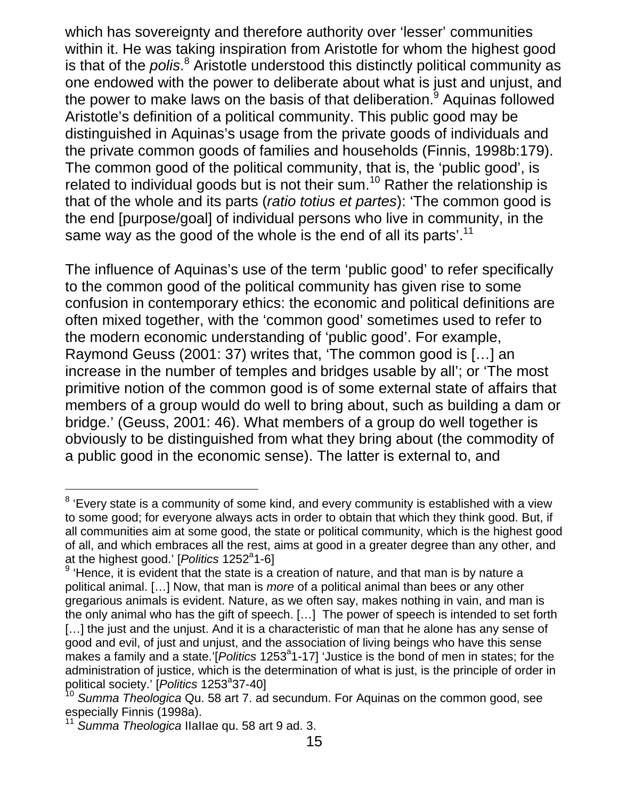which has sovereignty and therefore authority over 'lesser' communities within it. He was taking inspiration from Aristotle for whom the highest good is that of the *polis*.<sup>8</sup> Aristotle understood this distinctly political community as one endowed with the power to deliberate about what is just and unjust, and the power to make laws on the basis of that deliberation.<sup>9</sup> Aquinas followed Aristotle's definition of a political community. This public good may be distinguished in Aquinas's usage from the private goods of individuals and the private common goods of families and households (Finnis, 1998b:179). The common good of the political community, that is, the 'public good', is related to individual goods but is not their sum.<sup>10</sup> Rather the relationship is that of the whole and its parts (*ratio totius et partes*): 'The common good is the end [purpose/goal] of individual persons who live in community, in the same way as the good of the whole is the end of all its parts'.<sup>11</sup>

The influence of Aquinas's use of the term 'public good' to refer specifically to the common good of the political community has given rise to some confusion in contemporary ethics: the economic and political definitions are often mixed together, with the 'common good' sometimes used to refer to the modern economic understanding of 'public good'. For example, Raymond Geuss (2001: 37) writes that, 'The common good is […] an increase in the number of temples and bridges usable by all'; or 'The most primitive notion of the common good is of some external state of affairs that members of a group would do well to bring about, such as building a dam or bridge.' (Geuss, 2001: 46). What members of a group do well together is obviously to be distinguished from what they bring about (the commodity of a public good in the economic sense). The latter is external to, and

 8 'Every state is a community of some kind, and every community is established with a view to some good; for everyone always acts in order to obtain that which they think good. But, if all communities aim at some good, the state or political community, which is the highest good of all, and which embraces all the rest, aims at good in a greater degree than any other, and at the highest good.' [*Politics* 1252<sup>a</sup>1-6]<br><sup>9</sup> Hence it is ovident that the state is a

 $^9$  'Hence, it is evident that the state is a creation of nature, and that man is by nature a political animal. […] Now, that man is *more* of a political animal than bees or any other gregarious animals is evident. Nature, as we often say, makes nothing in vain, and man is the only animal who has the gift of speech. […] The power of speech is intended to set forth [...] the just and the unjust. And it is a characteristic of man that he alone has any sense of good and evil, of just and unjust, and the association of living beings who have this sense makes a family and a state.'<sup>[*Politics* 1253<sup>a</sup>1-17] 'Justice is the bond of men in states; for the</sup> administration of justice, which is the determination of what is just, is the principle of order in political society.' [*Politics* 1253<sup>a</sup>37-40]

<sup>37-40] 10</sup> *Summa Theologica* Qu. 58 art 7. ad secundum. For Aquinas on the common good, see especially Finnis (1998a).

<sup>11</sup> *Summa Theologica* IIaIIae qu. 58 art 9 ad. 3.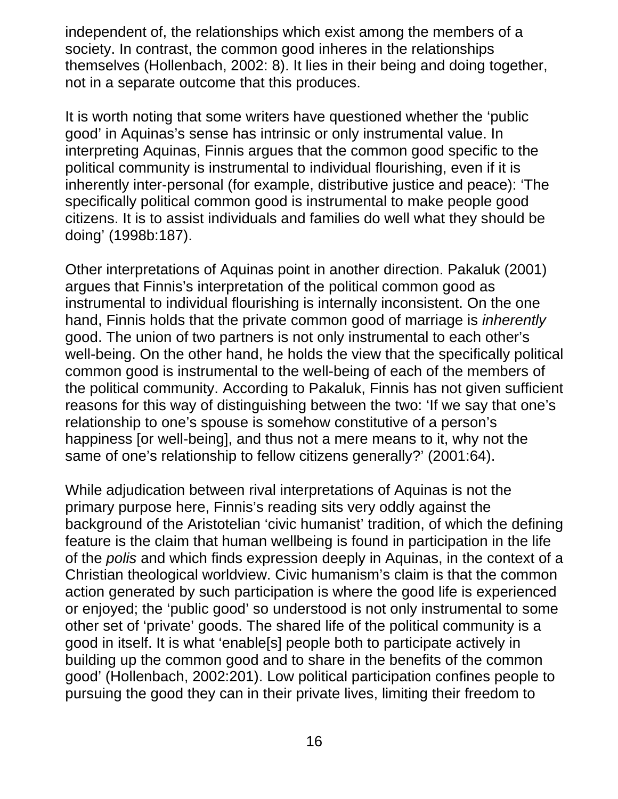independent of, the relationships which exist among the members of a society. In contrast, the common good inheres in the relationships themselves (Hollenbach, 2002: 8). It lies in their being and doing together, not in a separate outcome that this produces.

It is worth noting that some writers have questioned whether the 'public good' in Aquinas's sense has intrinsic or only instrumental value. In interpreting Aquinas, Finnis argues that the common good specific to the political community is instrumental to individual flourishing, even if it is inherently inter-personal (for example, distributive justice and peace): 'The specifically political common good is instrumental to make people good citizens. It is to assist individuals and families do well what they should be doing' (1998b:187).

Other interpretations of Aquinas point in another direction. Pakaluk (2001) argues that Finnis's interpretation of the political common good as instrumental to individual flourishing is internally inconsistent. On the one hand, Finnis holds that the private common good of marriage is *inherently*  good. The union of two partners is not only instrumental to each other's well-being. On the other hand, he holds the view that the specifically political common good is instrumental to the well-being of each of the members of the political community. According to Pakaluk, Finnis has not given sufficient reasons for this way of distinguishing between the two: 'If we say that one's relationship to one's spouse is somehow constitutive of a person's happiness [or well-being], and thus not a mere means to it, why not the same of one's relationship to fellow citizens generally?' (2001:64).

While adjudication between rival interpretations of Aquinas is not the primary purpose here, Finnis's reading sits very oddly against the background of the Aristotelian 'civic humanist' tradition, of which the defining feature is the claim that human wellbeing is found in participation in the life of the *polis* and which finds expression deeply in Aquinas, in the context of a Christian theological worldview. Civic humanism's claim is that the common action generated by such participation is where the good life is experienced or enjoyed; the 'public good' so understood is not only instrumental to some other set of 'private' goods. The shared life of the political community is a good in itself. It is what 'enable[s] people both to participate actively in building up the common good and to share in the benefits of the common good' (Hollenbach, 2002:201). Low political participation confines people to pursuing the good they can in their private lives, limiting their freedom to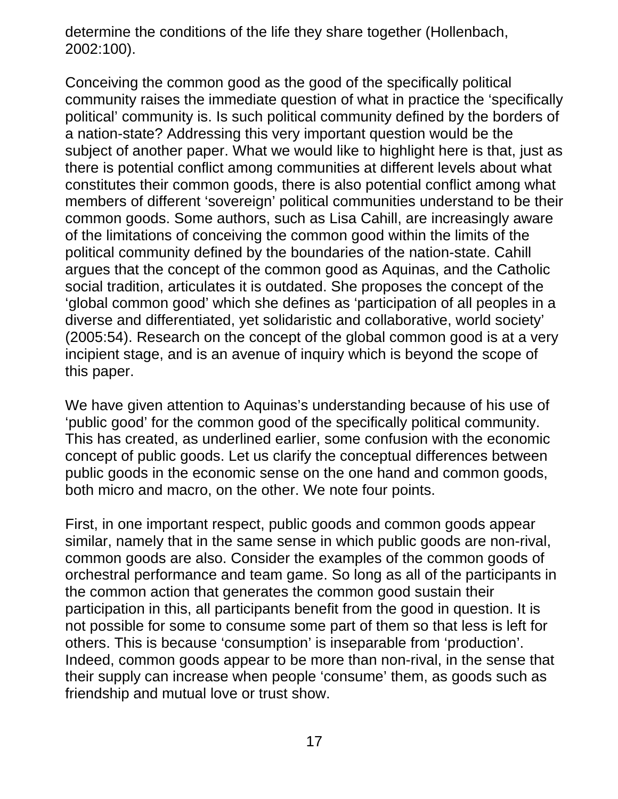determine the conditions of the life they share together (Hollenbach, 2002:100).

Conceiving the common good as the good of the specifically political community raises the immediate question of what in practice the 'specifically political' community is. Is such political community defined by the borders of a nation-state? Addressing this very important question would be the subject of another paper. What we would like to highlight here is that, just as there is potential conflict among communities at different levels about what constitutes their common goods, there is also potential conflict among what members of different 'sovereign' political communities understand to be their common goods. Some authors, such as Lisa Cahill, are increasingly aware of the limitations of conceiving the common good within the limits of the political community defined by the boundaries of the nation-state. Cahill argues that the concept of the common good as Aquinas, and the Catholic social tradition, articulates it is outdated. She proposes the concept of the 'global common good' which she defines as 'participation of all peoples in a diverse and differentiated, yet solidaristic and collaborative, world society' (2005:54). Research on the concept of the global common good is at a very incipient stage, and is an avenue of inquiry which is beyond the scope of this paper.

We have given attention to Aquinas's understanding because of his use of 'public good' for the common good of the specifically political community. This has created, as underlined earlier, some confusion with the economic concept of public goods. Let us clarify the conceptual differences between public goods in the economic sense on the one hand and common goods, both micro and macro, on the other. We note four points.

First, in one important respect, public goods and common goods appear similar, namely that in the same sense in which public goods are non-rival, common goods are also. Consider the examples of the common goods of orchestral performance and team game. So long as all of the participants in the common action that generates the common good sustain their participation in this, all participants benefit from the good in question. It is not possible for some to consume some part of them so that less is left for others. This is because 'consumption' is inseparable from 'production'. Indeed, common goods appear to be more than non-rival, in the sense that their supply can increase when people 'consume' them, as goods such as friendship and mutual love or trust show.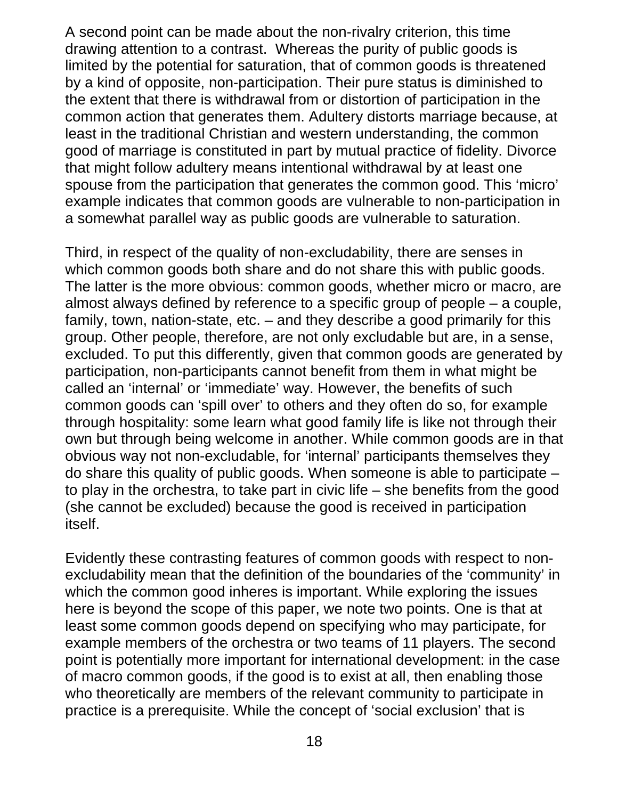A second point can be made about the non-rivalry criterion, this time drawing attention to a contrast. Whereas the purity of public goods is limited by the potential for saturation, that of common goods is threatened by a kind of opposite, non-participation. Their pure status is diminished to the extent that there is withdrawal from or distortion of participation in the common action that generates them. Adultery distorts marriage because, at least in the traditional Christian and western understanding, the common good of marriage is constituted in part by mutual practice of fidelity. Divorce that might follow adultery means intentional withdrawal by at least one spouse from the participation that generates the common good. This 'micro' example indicates that common goods are vulnerable to non-participation in a somewhat parallel way as public goods are vulnerable to saturation.

Third, in respect of the quality of non-excludability, there are senses in which common goods both share and do not share this with public goods. The latter is the more obvious: common goods, whether micro or macro, are almost always defined by reference to a specific group of people – a couple, family, town, nation-state, etc. – and they describe a good primarily for this group. Other people, therefore, are not only excludable but are, in a sense, excluded. To put this differently, given that common goods are generated by participation, non-participants cannot benefit from them in what might be called an 'internal' or 'immediate' way. However, the benefits of such common goods can 'spill over' to others and they often do so, for example through hospitality: some learn what good family life is like not through their own but through being welcome in another. While common goods are in that obvious way not non-excludable, for 'internal' participants themselves they do share this quality of public goods. When someone is able to participate – to play in the orchestra, to take part in civic life – she benefits from the good (she cannot be excluded) because the good is received in participation itself.

Evidently these contrasting features of common goods with respect to nonexcludability mean that the definition of the boundaries of the 'community' in which the common good inheres is important. While exploring the issues here is beyond the scope of this paper, we note two points. One is that at least some common goods depend on specifying who may participate, for example members of the orchestra or two teams of 11 players. The second point is potentially more important for international development: in the case of macro common goods, if the good is to exist at all, then enabling those who theoretically are members of the relevant community to participate in practice is a prerequisite. While the concept of 'social exclusion' that is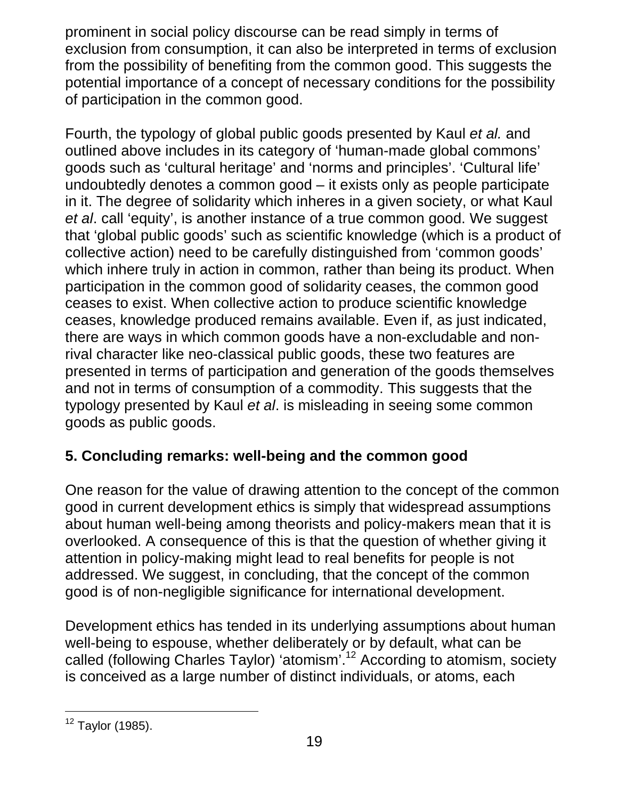prominent in social policy discourse can be read simply in terms of exclusion from consumption, it can also be interpreted in terms of exclusion from the possibility of benefiting from the common good. This suggests the potential importance of a concept of necessary conditions for the possibility of participation in the common good.

Fourth, the typology of global public goods presented by Kaul *et al.* and outlined above includes in its category of 'human-made global commons' goods such as 'cultural heritage' and 'norms and principles'. 'Cultural life' undoubtedly denotes a common good – it exists only as people participate in it. The degree of solidarity which inheres in a given society, or what Kaul *et al*. call 'equity', is another instance of a true common good. We suggest that 'global public goods' such as scientific knowledge (which is a product of collective action) need to be carefully distinguished from 'common goods' which inhere truly in action in common, rather than being its product. When participation in the common good of solidarity ceases, the common good ceases to exist. When collective action to produce scientific knowledge ceases, knowledge produced remains available. Even if, as just indicated, there are ways in which common goods have a non-excludable and nonrival character like neo-classical public goods, these two features are presented in terms of participation and generation of the goods themselves and not in terms of consumption of a commodity. This suggests that the typology presented by Kaul *et al*. is misleading in seeing some common goods as public goods.

# **5. Concluding remarks: well-being and the common good**

One reason for the value of drawing attention to the concept of the common good in current development ethics is simply that widespread assumptions about human well-being among theorists and policy-makers mean that it is overlooked. A consequence of this is that the question of whether giving it attention in policy-making might lead to real benefits for people is not addressed. We suggest, in concluding, that the concept of the common good is of non-negligible significance for international development.

Development ethics has tended in its underlying assumptions about human well-being to espouse, whether deliberately or by default, what can be called (following Charles Taylor) 'atomism'.12 According to atomism, society is conceived as a large number of distinct individuals, or atoms, each

l  $12$  Taylor (1985).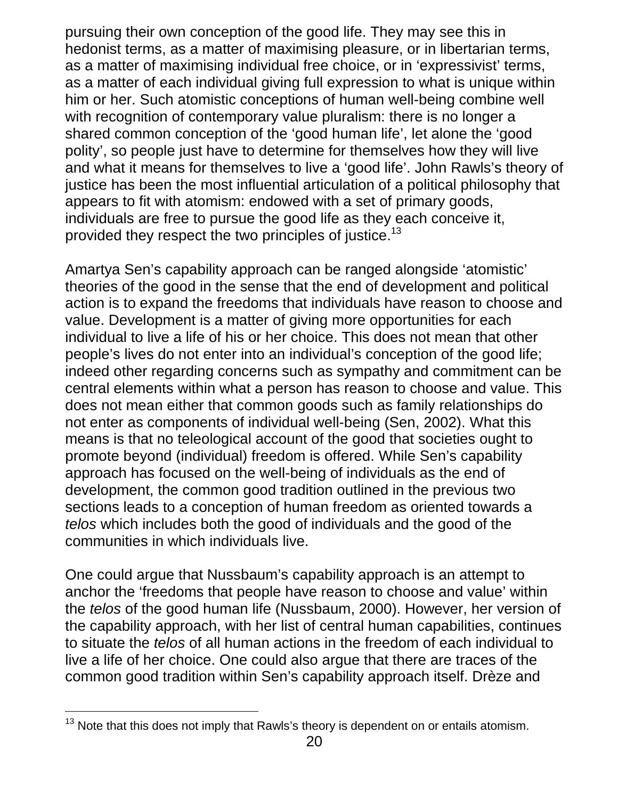pursuing their own conception of the good life. They may see this in hedonist terms, as a matter of maximising pleasure, or in libertarian terms, as a matter of maximising individual free choice, or in 'expressivist' terms, as a matter of each individual giving full expression to what is unique within him or her. Such atomistic conceptions of human well-being combine well with recognition of contemporary value pluralism: there is no longer a shared common conception of the 'good human life', let alone the 'good polity', so people just have to determine for themselves how they will live and what it means for themselves to live a 'good life'. John Rawls's theory of justice has been the most influential articulation of a political philosophy that appears to fit with atomism: endowed with a set of primary goods, individuals are free to pursue the good life as they each conceive it, provided they respect the two principles of justice.<sup>13</sup>

Amartya Sen's capability approach can be ranged alongside 'atomistic' theories of the good in the sense that the end of development and political action is to expand the freedoms that individuals have reason to choose and value. Development is a matter of giving more opportunities for each individual to live a life of his or her choice. This does not mean that other people's lives do not enter into an individual's conception of the good life; indeed other regarding concerns such as sympathy and commitment can be central elements within what a person has reason to choose and value. This does not mean either that common goods such as family relationships do not enter as components of individual well-being (Sen, 2002). What this means is that no teleological account of the good that societies ought to promote beyond (individual) freedom is offered. While Sen's capability approach has focused on the well-being of individuals as the end of development, the common good tradition outlined in the previous two sections leads to a conception of human freedom as oriented towards a *telos* which includes both the good of individuals and the good of the communities in which individuals live.

One could argue that Nussbaum's capability approach is an attempt to anchor the 'freedoms that people have reason to choose and value' within the *telos* of the good human life (Nussbaum, 2000). However, her version of the capability approach, with her list of central human capabilities, continues to situate the *telos* of all human actions in the freedom of each individual to live a life of her choice. One could also argue that there are traces of the common good tradition within Sen's capability approach itself. Drèze and

 $13$  Note that this does not imply that Rawls's theory is dependent on or entails atomism.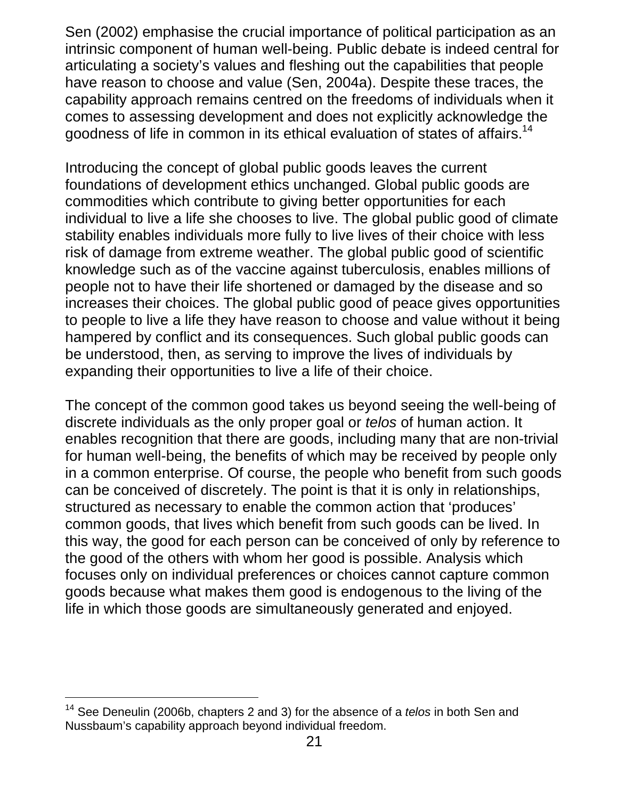Sen (2002) emphasise the crucial importance of political participation as an intrinsic component of human well-being. Public debate is indeed central for articulating a society's values and fleshing out the capabilities that people have reason to choose and value (Sen, 2004a). Despite these traces, the capability approach remains centred on the freedoms of individuals when it comes to assessing development and does not explicitly acknowledge the goodness of life in common in its ethical evaluation of states of affairs.<sup>14</sup>

Introducing the concept of global public goods leaves the current foundations of development ethics unchanged. Global public goods are commodities which contribute to giving better opportunities for each individual to live a life she chooses to live. The global public good of climate stability enables individuals more fully to live lives of their choice with less risk of damage from extreme weather. The global public good of scientific knowledge such as of the vaccine against tuberculosis, enables millions of people not to have their life shortened or damaged by the disease and so increases their choices. The global public good of peace gives opportunities to people to live a life they have reason to choose and value without it being hampered by conflict and its consequences. Such global public goods can be understood, then, as serving to improve the lives of individuals by expanding their opportunities to live a life of their choice.

The concept of the common good takes us beyond seeing the well-being of discrete individuals as the only proper goal or *telos* of human action. It enables recognition that there are goods, including many that are non-trivial for human well-being, the benefits of which may be received by people only in a common enterprise. Of course, the people who benefit from such goods can be conceived of discretely. The point is that it is only in relationships, structured as necessary to enable the common action that 'produces' common goods, that lives which benefit from such goods can be lived. In this way, the good for each person can be conceived of only by reference to the good of the others with whom her good is possible. Analysis which focuses only on individual preferences or choices cannot capture common goods because what makes them good is endogenous to the living of the life in which those goods are simultaneously generated and enjoyed.

<sup>14</sup> See Deneulin (2006b, chapters 2 and 3) for the absence of a *telos* in both Sen and Nussbaum's capability approach beyond individual freedom.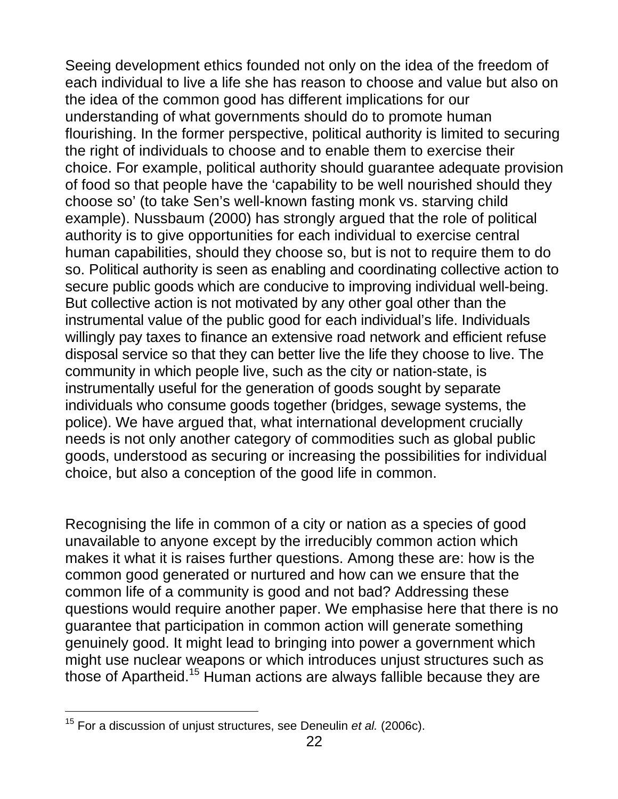Seeing development ethics founded not only on the idea of the freedom of each individual to live a life she has reason to choose and value but also on the idea of the common good has different implications for our understanding of what governments should do to promote human flourishing. In the former perspective, political authority is limited to securing the right of individuals to choose and to enable them to exercise their choice. For example, political authority should guarantee adequate provision of food so that people have the 'capability to be well nourished should they choose so' (to take Sen's well-known fasting monk vs. starving child example). Nussbaum (2000) has strongly argued that the role of political authority is to give opportunities for each individual to exercise central human capabilities, should they choose so, but is not to require them to do so. Political authority is seen as enabling and coordinating collective action to secure public goods which are conducive to improving individual well-being. But collective action is not motivated by any other goal other than the instrumental value of the public good for each individual's life. Individuals willingly pay taxes to finance an extensive road network and efficient refuse disposal service so that they can better live the life they choose to live. The community in which people live, such as the city or nation-state, is instrumentally useful for the generation of goods sought by separate individuals who consume goods together (bridges, sewage systems, the police). We have argued that, what international development crucially needs is not only another category of commodities such as global public goods, understood as securing or increasing the possibilities for individual choice, but also a conception of the good life in common.

Recognising the life in common of a city or nation as a species of good unavailable to anyone except by the irreducibly common action which makes it what it is raises further questions. Among these are: how is the common good generated or nurtured and how can we ensure that the common life of a community is good and not bad? Addressing these questions would require another paper. We emphasise here that there is no guarantee that participation in common action will generate something genuinely good. It might lead to bringing into power a government which might use nuclear weapons or which introduces unjust structures such as those of Apartheid.<sup>15</sup> Human actions are always fallible because they are

<sup>15</sup> For a discussion of unjust structures, see Deneulin *et al.* (2006c).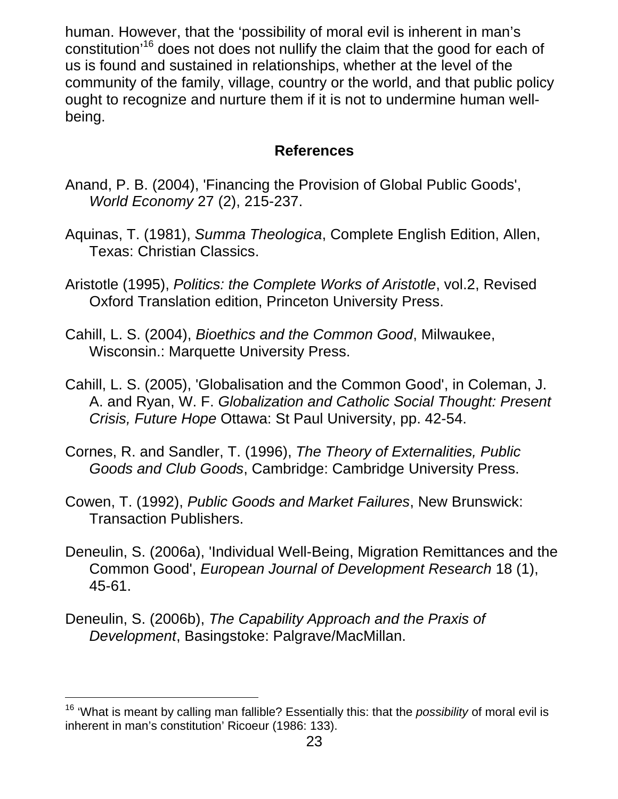human. However, that the 'possibility of moral evil is inherent in man's constitution'16 does not does not nullify the claim that the good for each of us is found and sustained in relationships, whether at the level of the community of the family, village, country or the world, and that public policy ought to recognize and nurture them if it is not to undermine human wellbeing.

### **References**

- Anand, P. B. (2004), 'Financing the Provision of Global Public Goods', *World Economy* 27 (2), 215-237.
- Aquinas, T. (1981), *Summa Theologica*, Complete English Edition, Allen, Texas: Christian Classics.
- Aristotle (1995), *Politics: the Complete Works of Aristotle*, vol.2, Revised Oxford Translation edition, Princeton University Press.
- Cahill, L. S. (2004), *Bioethics and the Common Good*, Milwaukee, Wisconsin.: Marquette University Press.
- Cahill, L. S. (2005), 'Globalisation and the Common Good', in Coleman, J. A. and Ryan, W. F. *Globalization and Catholic Social Thought: Present Crisis, Future Hope* Ottawa: St Paul University, pp. 42-54.
- Cornes, R. and Sandler, T. (1996), *The Theory of Externalities, Public Goods and Club Goods*, Cambridge: Cambridge University Press.
- Cowen, T. (1992), *Public Goods and Market Failures*, New Brunswick: Transaction Publishers.
- Deneulin, S. (2006a), 'Individual Well-Being, Migration Remittances and the Common Good', *European Journal of Development Research* 18 (1), 45-61.
- Deneulin, S. (2006b), *The Capability Approach and the Praxis of Development*, Basingstoke: Palgrave/MacMillan.

l 16 'What is meant by calling man fallible? Essentially this: that the *possibility* of moral evil is inherent in man's constitution' Ricoeur (1986: 133).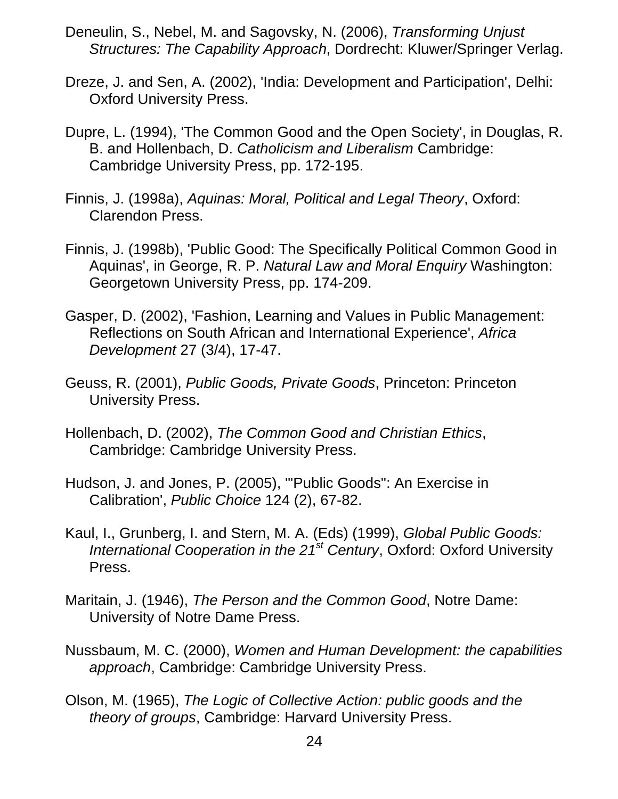- Deneulin, S., Nebel, M. and Sagovsky, N. (2006), *Transforming Unjust Structures: The Capability Approach*, Dordrecht: Kluwer/Springer Verlag.
- Dreze, J. and Sen, A. (2002), 'India: Development and Participation', Delhi: Oxford University Press.
- Dupre, L. (1994), 'The Common Good and the Open Society', in Douglas, R. B. and Hollenbach, D. *Catholicism and Liberalism* Cambridge: Cambridge University Press, pp. 172-195.
- Finnis, J. (1998a), *Aquinas: Moral, Political and Legal Theory*, Oxford: Clarendon Press.
- Finnis, J. (1998b), 'Public Good: The Specifically Political Common Good in Aquinas', in George, R. P. *Natural Law and Moral Enquiry* Washington: Georgetown University Press, pp. 174-209.
- Gasper, D. (2002), 'Fashion, Learning and Values in Public Management: Reflections on South African and International Experience', *Africa Development* 27 (3/4), 17-47.
- Geuss, R. (2001), *Public Goods, Private Goods*, Princeton: Princeton University Press.
- Hollenbach, D. (2002), *The Common Good and Christian Ethics*, Cambridge: Cambridge University Press.
- Hudson, J. and Jones, P. (2005), '"Public Goods": An Exercise in Calibration', *Public Choice* 124 (2), 67-82.
- Kaul, I., Grunberg, I. and Stern, M. A. (Eds) (1999), *Global Public Goods: International Cooperation in the 21st Century*, Oxford: Oxford University Press.
- Maritain, J. (1946), *The Person and the Common Good*, Notre Dame: University of Notre Dame Press.
- Nussbaum, M. C. (2000), *Women and Human Development: the capabilities approach*, Cambridge: Cambridge University Press.
- Olson, M. (1965), *The Logic of Collective Action: public goods and the theory of groups*, Cambridge: Harvard University Press.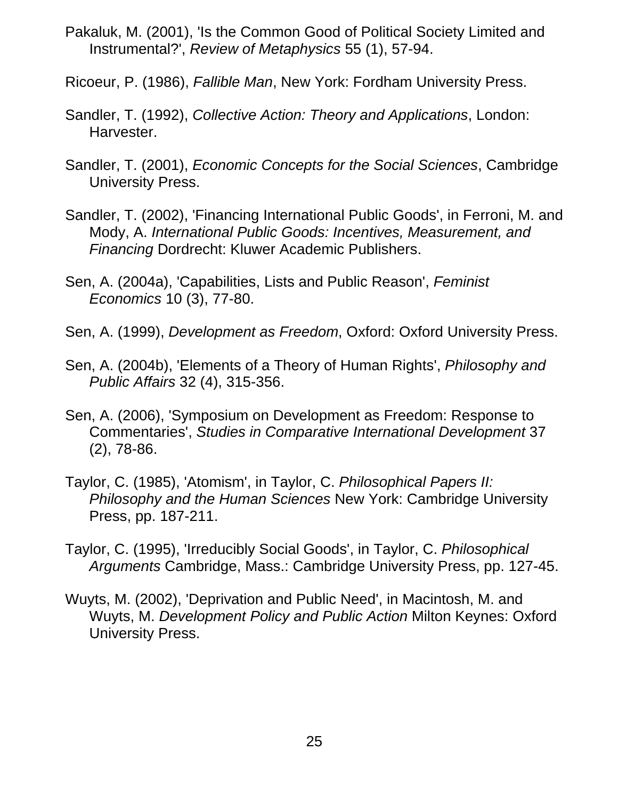- Pakaluk, M. (2001), 'Is the Common Good of Political Society Limited and Instrumental?', *Review of Metaphysics* 55 (1), 57-94.
- Ricoeur, P. (1986), *Fallible Man*, New York: Fordham University Press.
- Sandler, T. (1992), *Collective Action: Theory and Applications*, London: Harvester.
- Sandler, T. (2001), *Economic Concepts for the Social Sciences*, Cambridge University Press.
- Sandler, T. (2002), 'Financing International Public Goods', in Ferroni, M. and Mody, A. *International Public Goods: Incentives, Measurement, and Financing* Dordrecht: Kluwer Academic Publishers.
- Sen, A. (2004a), 'Capabilities, Lists and Public Reason', *Feminist Economics* 10 (3), 77-80.
- Sen, A. (1999), *Development as Freedom*, Oxford: Oxford University Press.
- Sen, A. (2004b), 'Elements of a Theory of Human Rights', *Philosophy and Public Affairs* 32 (4), 315-356.
- Sen, A. (2006), 'Symposium on Development as Freedom: Response to Commentaries', *Studies in Comparative International Development* 37 (2), 78-86.
- Taylor, C. (1985), 'Atomism', in Taylor, C. *Philosophical Papers II: Philosophy and the Human Sciences* New York: Cambridge University Press, pp. 187-211.
- Taylor, C. (1995), 'Irreducibly Social Goods', in Taylor, C. *Philosophical Arguments* Cambridge, Mass.: Cambridge University Press, pp. 127-45.
- Wuyts, M. (2002), 'Deprivation and Public Need', in Macintosh, M. and Wuyts, M. *Development Policy and Public Action* Milton Keynes: Oxford University Press.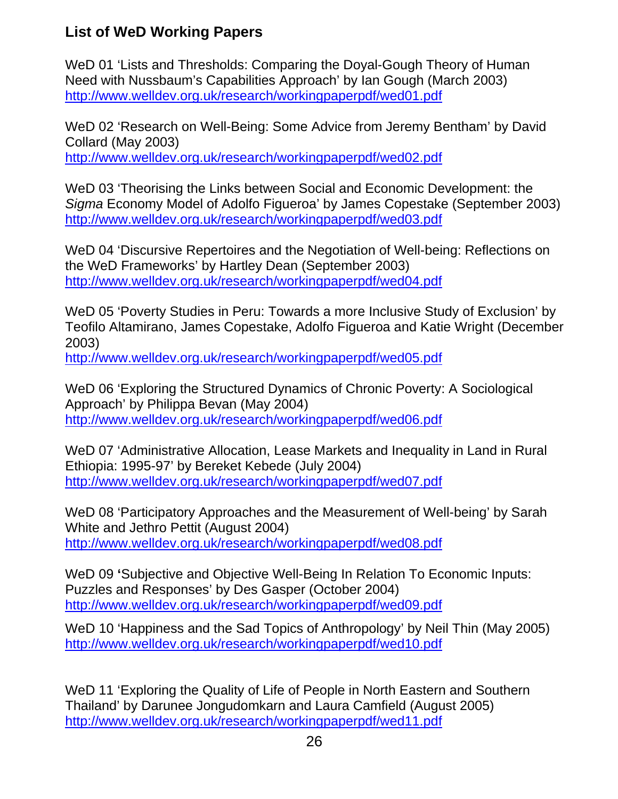# **List of WeD Working Papers**

WeD 01 'Lists and Thresholds: Comparing the Doyal-Gough Theory of Human Need with Nussbaum's Capabilities Approach' by Ian Gough (March 2003) http://www.welldev.org.uk/research/workingpaperpdf/wed01.pdf

WeD 02 'Research on Well-Being: Some Advice from Jeremy Bentham' by David Collard (May 2003) http://www.welldev.org.uk/research/workingpaperpdf/wed02.pdf

WeD 03 'Theorising the Links between Social and Economic Development: the *Sigma* Economy Model of Adolfo Figueroa' by James Copestake (September 2003) http://www.welldev.org.uk/research/workingpaperpdf/wed03.pdf

WeD 04 'Discursive Repertoires and the Negotiation of Well-being: Reflections on the WeD Frameworks' by Hartley Dean (September 2003) http://www.welldev.org.uk/research/workingpaperpdf/wed04.pdf

WeD 05 'Poverty Studies in Peru: Towards a more Inclusive Study of Exclusion' by Teofilo Altamirano, James Copestake, Adolfo Figueroa and Katie Wright (December 2003)

http://www.welldev.org.uk/research/workingpaperpdf/wed05.pdf

WeD 06 'Exploring the Structured Dynamics of Chronic Poverty: A Sociological Approach' by Philippa Bevan (May 2004) http://www.welldev.org.uk/research/workingpaperpdf/wed06.pdf

WeD 07 'Administrative Allocation, Lease Markets and Inequality in Land in Rural Ethiopia: 1995-97' by Bereket Kebede (July 2004) http://www.welldev.org.uk/research/workingpaperpdf/wed07.pdf

WeD 08 'Participatory Approaches and the Measurement of Well-being' by Sarah White and Jethro Pettit (August 2004) http://www.welldev.org.uk/research/workingpaperpdf/wed08.pdf

WeD 09 **'**Subjective and Objective Well-Being In Relation To Economic Inputs: Puzzles and Responses' by Des Gasper (October 2004) http://www.welldev.org.uk/research/workingpaperpdf/wed09.pdf

WeD 10 'Happiness and the Sad Topics of Anthropology' by Neil Thin (May 2005) http://www.welldev.org.uk/research/workingpaperpdf/wed10.pdf

WeD 11 'Exploring the Quality of Life of People in North Eastern and Southern Thailand' by Darunee Jongudomkarn and Laura Camfield (August 2005) http://www.welldev.org.uk/research/workingpaperpdf/wed11.pdf